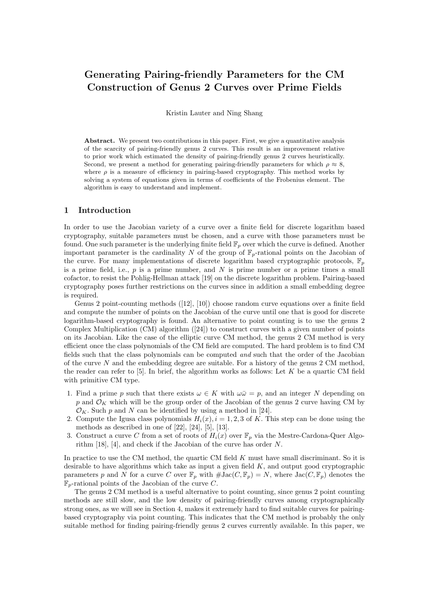# Generating Pairing-friendly Parameters for the CM Construction of Genus 2 Curves over Prime Fields

Kristin Lauter and Ning Shang

Abstract. We present two contributions in this paper. First, we give a quantitative analysis of the scarcity of pairing-friendly genus 2 curves. This result is an improvement relative to prior work which estimated the density of pairing-friendly genus 2 curves heuristically. Second, we present a method for generating pairing-friendly parameters for which  $\rho \approx 8$ , where  $\rho$  is a measure of efficiency in pairing-based cryptography. This method works by solving a system of equations given in terms of coefficients of the Frobenius element. The algorithm is easy to understand and implement.

### 1 Introduction

In order to use the Jacobian variety of a curve over a finite field for discrete logarithm based cryptography, suitable parameters must be chosen, and a curve with those parameters must be found. One such parameter is the underlying finite field  $\mathbb{F}_p$  over which the curve is defined. Another important parameter is the cardinality N of the group of  $\mathbb{F}_p$ -rational points on the Jacobian of the curve. For many implementations of discrete logarithm based cryptographic protocols,  $\mathbb{F}_p$ is a prime field, i.e.,  $p$  is a prime number, and  $N$  is prime number or a prime times a small cofactor, to resist the Pohlig-Hellman attack [19] on the discrete logarithm problem. Pairing-based cryptography poses further restrictions on the curves since in addition a small embedding degree is required.

Genus 2 point-counting methods ([12], [10]) choose random curve equations over a finite field and compute the number of points on the Jacobian of the curve until one that is good for discrete logarithm-based cryptography is found. An alternative to point counting is to use the genus 2 Complex Multiplication (CM) algorithm ([24]) to construct curves with a given number of points on its Jacobian. Like the case of the elliptic curve CM method, the genus 2 CM method is very efficient once the class polynomials of the CM field are computed. The hard problem is to find CM fields such that the class polynomials can be computed and such that the order of the Jacobian of the curve  $N$  and the embedding degree are suitable. For a history of the genus 2 CM method, the reader can refer to  $[5]$ . In brief, the algorithm works as follows: Let K be a quartic CM field with primitive CM type.

- 1. Find a prime p such that there exists  $\omega \in K$  with  $\omega \bar{\omega} = p$ , and an integer N depending on p and  $\mathcal{O}_K$  which will be the group order of the Jacobian of the genus 2 curve having CM by  $\mathcal{O}_K$ . Such p and N can be identified by using a method in [24].
- 2. Compute the Igusa class polynomials  $H_i(x)$ ,  $i = 1, 2, 3$  of K. This step can be done using the methods as described in one of  $[22]$ ,  $[24]$ ,  $[5]$ ,  $[13]$ .
- 3. Construct a curve C from a set of roots of  $H_i(x)$  over  $\mathbb{F}_p$  via the Mestre-Cardona-Quer Algorithm [18], [4], and check if the Jacobian of the curve has order N.

In practice to use the CM method, the quartic CM field  $K$  must have small discriminant. So it is desirable to have algorithms which take as input a given field  $K$ , and output good cryptographic parameters p and N for a curve C over  $\mathbb{F}_p$  with  $\# \text{Jac}(C, \mathbb{F}_p) = N$ , where  $\text{Jac}(C, \mathbb{F}_p)$  denotes the  $\mathbb{F}_p$ -rational points of the Jacobian of the curve C.

The genus 2 CM method is a useful alternative to point counting, since genus 2 point counting methods are still slow, and the low density of pairing-friendly curves among cryptographically strong ones, as we will see in Section 4, makes it extremely hard to find suitable curves for pairingbased cryptography via point counting. This indicates that the CM method is probably the only suitable method for finding pairing-friendly genus 2 curves currently available. In this paper, we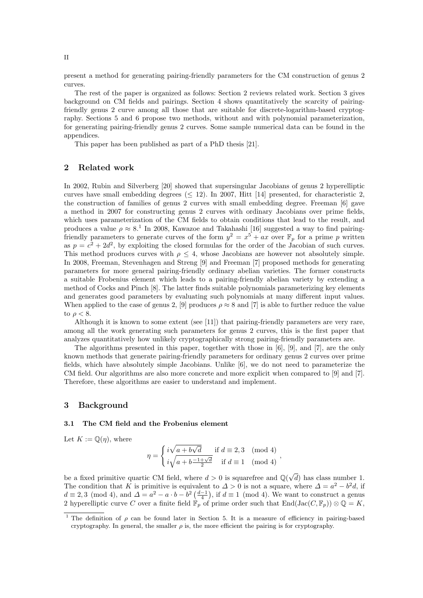present a method for generating pairing-friendly parameters for the CM construction of genus 2 curves.

The rest of the paper is organized as follows: Section 2 reviews related work. Section 3 gives background on CM fields and pairings. Section 4 shows quantitatively the scarcity of pairingfriendly genus 2 curve among all those that are suitable for discrete-logarithm-based cryptography. Sections 5 and 6 propose two methods, without and with polynomial parameterization, for generating pairing-friendly genus 2 curves. Some sample numerical data can be found in the appendices.

This paper has been published as part of a PhD thesis [21].

# 2 Related work

In 2002, Rubin and Silverberg [20] showed that supersingular Jacobians of genus 2 hyperelliptic curves have small embedding degrees ( $\leq$  12). In 2007, Hitt [14] presented, for characteristic 2, the construction of families of genus 2 curves with small embedding degree. Freeman [6] gave a method in 2007 for constructing genus 2 curves with ordinary Jacobians over prime fields, which uses parameterization of the CM fields to obtain conditions that lead to the result, and produces a value  $\rho \approx 8$ <sup>1</sup> In 2008, Kawazoe and Takahashi [16] suggested a way to find pairingfriendly parameters to generate curves of the form  $y^2 = x^5 + ax$  over  $\mathbb{F}_p$  for a prime p written as  $p = c^2 + 2d^2$ , by exploiting the closed formulas for the order of the Jacobian of such curves. This method produces curves with  $\rho \leq 4$ , whose Jacobians are however not absolutely simple. In 2008, Freeman, Stevenhagen and Streng [9] and Freeman [7] proposed methods for generating parameters for more general pairing-friendly ordinary abelian varieties. The former constructs a suitable Frobenius element which leads to a pairing-friendly abelian variety by extending a method of Cocks and Pinch [8]. The latter finds suitable polynomials parameterizing key elements and generates good parameters by evaluating such polynomials at many different input values. When applied to the case of genus 2, [9] produces  $\rho \approx 8$  and [7] is able to further reduce the value to  $\rho < 8$ .

Although it is known to some extent (see [11]) that pairing-friendly parameters are very rare, among all the work generating such parameters for genus 2 curves, this is the first paper that analyzes quantitatively how unlikely cryptographically strong pairing-friendly parameters are.

The algorithms presented in this paper, together with those in [6], [9], and [7], are the only known methods that generate pairing-friendly parameters for ordinary genus 2 curves over prime fields, which have absolutely simple Jacobians. Unlike [6], we do not need to parameterize the CM field. Our algorithms are also more concrete and more explicit when compared to [9] and [7]. Therefore, these algorithms are easier to understand and implement.

#### 3 Background

#### 3.1 The CM field and the Frobenius element

Let  $K := \mathbb{Q}(\eta)$ , where

$$
\eta = \begin{cases} i\sqrt{a+b\sqrt{d}} & \text{if } d \equiv 2,3 \pmod{4} \\ i\sqrt{a+b\frac{-1+\sqrt{d}}{2}} & \text{if } d \equiv 1 \pmod{4} \end{cases}
$$

be a fixed primitive quartic CM field, where  $d > 0$  is squarefree and  $\mathbb{Q}(\sqrt{d})$  has class number 1. The condition that K is primitive is equivalent to  $\Delta > 0$  is not a square, where  $\Delta = a^2 - b^2 d$ , if  $d \equiv 2,3 \pmod{4}$ , and  $\Delta = a^2 - a \cdot b - b^2 \left(\frac{d-1}{4}\right)$ , if  $d \equiv 1 \pmod{4}$ . We want to construct a genus 2 hyperelliptic curve C over a finite field  $\mathbb{F}_p$  of prime order such that  $\text{End}(\text{Jac}(C, \mathbb{F}_p)) \otimes \mathbb{Q} = K$ ,

<sup>&</sup>lt;sup>1</sup> The definition of  $\rho$  can be found later in Section 5. It is a measure of efficiency in pairing-based cryptography. In general, the smaller  $\rho$  is, the more efficient the pairing is for cryptography.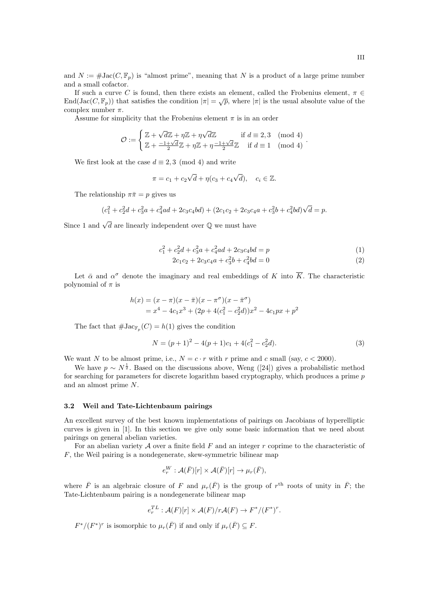and  $N := \# \text{Jac}(C, \mathbb{F}_p)$  is "almost prime", meaning that N is a product of a large prime number and a small cofactor.

If such a curve C is found, then there exists an element, called the Frobenius element,  $\pi \in$ End(Jac( $C, \mathbb{F}_p$ )) that satisfies the condition  $|\pi| = \sqrt{p}$ , where  $|\pi|$  is the usual absolute value of the complex number  $\pi$ .

Assume for simplicity that the Frobenius element  $\pi$  is in an order

$$
\mathcal{O} := \begin{cases} \mathbb{Z} + \sqrt{d}\mathbb{Z} + \eta \mathbb{Z} + \eta \sqrt{d}\mathbb{Z} & \text{if } d \equiv 2,3 \pmod{4} \\ \mathbb{Z} + \frac{-1 + \sqrt{d}}{2}\mathbb{Z} + \eta \mathbb{Z} + \eta \frac{-1 + \sqrt{d}}{2}\mathbb{Z} & \text{if } d \equiv 1 \pmod{4} \end{cases}.
$$

We first look at the case  $d \equiv 2, 3 \pmod{4}$  and write

$$
\pi = c_1 + c_2\sqrt{d} + \eta(c_3 + c_4\sqrt{d}), \quad c_i \in \mathbb{Z}.
$$

The relationship  $\pi \bar{\pi} = p$  gives us

$$
(c_1^2 + c_2^2d + c_3^2a + c_4^2ad + 2c_3c_4bd) + (2c_1c_2 + 2c_3c_4a + c_3^2b + c_4^2bd)\sqrt{d} = p.
$$

Since 1 and  $\sqrt{d}$  are linearly independent over  $\mathbb Q$  we must have

$$
c_1^2 + c_2^2d + c_3^2a + c_4^2ad + 2c_3c_4bd = p \tag{1}
$$

$$
2c_1c_2 + 2c_3c_4a + c_3^2b + c_4^2bd = 0
$$
\n(2)

Let  $\bar{\alpha}$  and  $\alpha^{\sigma}$  denote the imaginary and real embeddings of K into  $\overline{K}$ . The characteristic polynomial of  $\pi$  is

$$
h(x) = (x - \pi)(x - \bar{\pi})(x - \pi^{\sigma})(x - \bar{\pi}^{\sigma})
$$
  
=  $x^4 - 4c_1x^3 + (2p + 4(c_1^2 - c_2^2d))x^2 - 4c_1px + p^2$ 

The fact that  $\#\text{Jac}_{\mathbb{F}_p}(C) = h(1)$  gives the condition

$$
N = (p+1)^2 - 4(p+1)c_1 + 4(c_1^2 - c_2^2d). \tag{3}
$$

We want N to be almost prime, i.e.,  $N = c \cdot r$  with r prime and c small (say,  $c < 2000$ ).

We have  $p \sim N^{\frac{1}{2}}$ . Based on the discussions above, Weng ([24]) gives a probabilistic method for searching for parameters for discrete logarithm based cryptography, which produces a prime p and an almost prime N.

#### 3.2 Weil and Tate-Lichtenbaum pairings

An excellent survey of the best known implementations of pairings on Jacobians of hyperelliptic curves is given in [1]. In this section we give only some basic information that we need about pairings on general abelian varieties.

For an abelian variety  $A$  over a finite field  $F$  and an integer  $r$  coprime to the characteristic of F, the Weil pairing is a nondegenerate, skew-symmetric bilinear map

$$
e_r^W: \mathcal{A}(\bar{F})[r] \times \mathcal{A}(\bar{F})[r] \to \mu_r(\bar{F}),
$$

where  $\bar{F}$  is an algebraic closure of F and  $\mu_r(\bar{F})$  is the group of  $r^{\text{th}}$  roots of unity in  $\bar{F}$ ; the Tate-Lichtenbaum pairing is a nondegenerate bilinear map

$$
e_r^{TL}: \mathcal{A}(F)[r] \times \mathcal{A}(F)/r\mathcal{A}(F) \to F^*/(F^*)^r.
$$

 $F^*/(F^*)^r$  is isomorphic to  $\mu_r(\bar{F})$  if and only if  $\mu_r(\bar{F}) \subseteq F$ .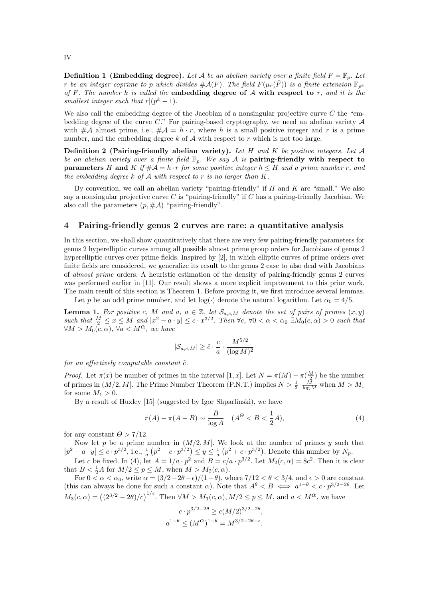**Definition 1 (Embedding degree).** Let A be an abelian variety over a finite field  $F = \mathbb{F}_p$ . Let r be an integer coprime to p which divides  $\#\mathcal{A}(F)$ . The field  $F(\mu_r(\bar{F}))$  is a finite extension  $\mathbb{F}_{n^k}$ of F. The number k is called the embedding degree of  $A$  with respect to r, and it is the smallest integer such that  $r|(p^k-1)$ .

We also call the embedding degree of the Jacobian of a nonsingular projective curve  $C$  the "embedding degree of the curve C." For pairing-based cryptography, we need an abelian variety  $A$ with  $\#\mathcal{A}$  almost prime, i.e.,  $\#\mathcal{A} = h \cdot r$ , where h is a small positive integer and r is a prime number, and the embedding degree  $k$  of  $A$  with respect to r which is not too large.

Definition 2 (Pairing-friendly abelian variety). Let  $H$  and  $K$  be positive integers. Let  $A$ be an abelian variety over a finite field  $\mathbb{F}_p$ . We say A is pairing-friendly with respect to **parameters** H and K if  $\#\mathcal{A} = h \cdot r$  for some positive integer  $h \leq H$  and a prime number r, and the embedding degree  $k$  of  $A$  with respect to r is no larger than  $K$ .

By convention, we call an abelian variety "pairing-friendly" if  $H$  and  $K$  are "small." We also say a nonsingular projective curve C is "pairing-friendly" if C has a pairing-friendly Jacobian. We also call the parameters  $(p, \# \mathcal{A})$  "pairing-friendly".

#### 4 Pairing-friendly genus 2 curves are rare: a quantitative analysis

In this section, we shall show quantitatively that there are very few pairing-friendly parameters for genus 2 hyperelliptic curves among all possible almost prime group orders for Jacobians of genus 2 hyperelliptic curves over prime fields. Inspired by [2], in which elliptic curves of prime orders over finite fields are considered, we generalize its result to the genus 2 case to also deal with Jacobians of almost prime orders. A heuristic estimation of the density of pairing-friendly genus 2 curves was performed earlier in [11]. Our result shows a more explicit improvement to this prior work. The main result of this section is Theorem 1. Before proving it, we first introduce several lemmas.

Let p be an odd prime number, and let  $log(\cdot)$  denote the natural logarithm. Let  $\alpha_0 = 4/5$ .

**Lemma 1.** For positive c, M and a,  $a \in \mathbb{Z}$ , let  $\mathcal{S}_{a,c,M}$  denote the set of pairs of primes  $(x, y)$ such that  $\frac{M}{2} \leq x \leq M$  and  $|x^2 - a \cdot y| \leq c \cdot x^{3/2}$ . Then  $\forall c, \forall 0 < \alpha < \alpha_0 \exists M_0(c, \alpha) > 0$  such that  $\forall M > M_0(c, \alpha)$ ,  $\forall a < M^{\alpha}$ , we have

$$
|\mathcal{S}_{a,c,M}| \ge \tilde{c} \cdot \frac{c}{a} \cdot \frac{M^{5/2}}{(\log M)^2}
$$

for an effectively computable constant  $\tilde{c}$ .

*Proof.* Let  $\pi(x)$  be number of primes in the interval [1, x]. Let  $N = \pi(M) - \pi(\frac{M}{2})$  be the number of primes in  $(M/2, M]$ . The Prime Number Theorem (P.N.T.) implies  $N > \frac{1}{3} \cdot \frac{M}{\log M}$  when  $M > M_1$ for some  $M_1 > 0$ .

By a result of Huxley [15] (suggested by Igor Shparlinski), we have

$$
\pi(A) - \pi(A - B) \sim \frac{B}{\log A} \quad (A^{\Theta} < B < \frac{1}{2}A),\tag{4}
$$

for any constant  $\Theta > 7/12$ .

Now let p be a prime number in  $(M/2, M]$ . We look at the number of primes y such that  $|p^2-a\cdot y|\leq c\cdot p^{3/2}$ , i.e.,  $\frac{1}{a}(p^2-c\cdot p^{3/2})\leq y\leq \frac{1}{a}(p^2+c\cdot p^{3/2})$ . Denote this number by  $N_p$ .

Let c be fixed. In (4), let  $A = 1/a \cdot p^2$  and  $B = c/a \cdot p^{3/2}$ . Let  $M_2(c, \alpha) = 8c^2$ . Then it is clear that  $B < \frac{1}{2}A$  for  $M/2 \le p \le M$ , when  $M > M_2(c, \alpha)$ .

For  $0 < \alpha < \alpha_0$ , write  $\alpha = (3/2 - 2\theta - \epsilon)/(1-\theta)$ , where  $7/12 < \theta < 3/4$ , and  $\epsilon > 0$  are constant (this can always be done for such a constant  $\alpha$ ). Note that  $A^{\theta} < B \iff a^{1-\theta} < c \cdot p^{3/2-2\theta}$ . Let  $M_3(c, \alpha) = ((2^{3/2} - 2\theta)/c)^{1/\epsilon}$ . Then  $\forall M > M_3(c, \alpha), M/2 \le p \le M$ , and  $a < M^{\alpha}$ , we have

$$
c \cdot p^{3/2 - 2\theta} \ge c(M/2)^{3/2 - 2\theta},
$$
  

$$
a^{1-\theta} \le (M^{\alpha})^{1-\theta} = M^{3/2 - 2\theta - \epsilon}.
$$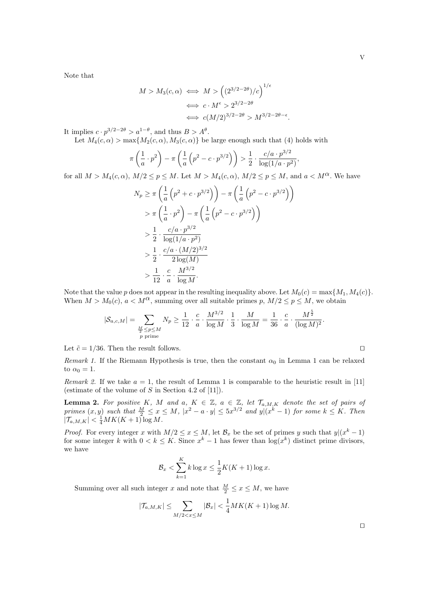,

Note that

$$
M > M_3(c, \alpha) \iff M > ((2^{3/2 - 2\theta})/c)^{1/\epsilon}
$$

$$
\iff c \cdot M^{\epsilon} > 2^{3/2 - 2\theta}
$$

$$
\iff c(M/2)^{3/2 - 2\theta} > M^{3/2 - 2\theta - \epsilon}.
$$

It implies  $c \cdot p^{3/2 - 2\theta} > a^{1-\theta}$ , and thus  $B > A^{\theta}$ .

Let  $M_4(c, \alpha) > \max\{M_2(c, \alpha), M_3(c, \alpha)\}\$ be large enough such that (4) holds with

$$
\pi\left(\frac{1}{a}\cdot p^2\right) - \pi\left(\frac{1}{a}\left(p^2 - c\cdot p^{3/2}\right)\right) > \frac{1}{2}\cdot\frac{c/a\cdot p^{3/2}}{\log(1/a\cdot p^2)}
$$

for all  $M > M_4(c, \alpha)$ ,  $M/2 \le p \le M$ . Let  $M > M_4(c, \alpha)$ ,  $M/2 \le p \le M$ , and  $a < M^{\alpha}$ . We have

$$
N_p \ge \pi \left(\frac{1}{a} \left(p^2 + c \cdot p^{3/2}\right)\right) - \pi \left(\frac{1}{a} \left(p^2 - c \cdot p^{3/2}\right)\right)
$$
  
\n
$$
> \pi \left(\frac{1}{a} \cdot p^2\right) - \pi \left(\frac{1}{a} \left(p^2 - c \cdot p^{3/2}\right)\right)
$$
  
\n
$$
> \frac{1}{2} \cdot \frac{c/a \cdot p^{3/2}}{\log(1/a \cdot p^2)}
$$
  
\n
$$
> \frac{1}{2} \cdot \frac{c/a \cdot (M/2)^{3/2}}{2\log(M)}
$$
  
\n
$$
> \frac{1}{12} \cdot \frac{c}{a} \cdot \frac{M^{3/2}}{\log M}.
$$

Note that the value p does not appear in the resulting inequality above. Let  $M_0(c) = \max\{M_1, M_4(c)\}.$ When  $M > M_0(c)$ ,  $a < M^{\alpha}$ , summing over all suitable primes p,  $M/2 \le p \le M$ , we obtain

$$
|\mathcal{S}_{a,c,M}|=\sum_{\substack{\underline{M} \leq p \leq M \\ p \text{ prime}}} N_p \geq \frac{1}{12} \cdot \frac{c}{a} \cdot \frac{M^{3/2}}{\log M} \cdot \frac{1}{3} \cdot \frac{M}{\log M}=\frac{1}{36} \cdot \frac{c}{a} \cdot \frac{M^{\frac{5}{2}}}{(\log M)^2}.
$$

Let  $\tilde{c} = 1/36$ . Then the result follows. □

Remark 1. If the Riemann Hypothesis is true, then the constant  $\alpha_0$  in Lemma 1 can be relaxed to  $\alpha_0 = 1$ .

Remark 2. If we take  $a = 1$ , the result of Lemma 1 is comparable to the heuristic result in [11] (estimate of the volume of  $S$  in Section 4.2 of [11]).

**Lemma 2.** For positive K, M and a,  $K \in \mathbb{Z}$ ,  $a \in \mathbb{Z}$ , let  $\mathcal{T}_{a,M,K}$  denote the set of pairs of primes  $(x, y)$  such that  $\frac{M}{2} \le x \le M$ ,  $|x^2 - a \cdot y| \le 5x^{3/2}$  and  $y|(x^k - 1)$  for some  $k \le K$ . Then  $|\mathcal{T}_{a,M,K}| < \frac{1}{4}MK(K+1) \log M$ .

*Proof.* For every integer x with  $M/2 \le x \le M$ , let  $\mathcal{B}_x$  be the set of primes y such that  $y|(x^k-1)$ for some integer k with  $0 < k \leq K$ . Since  $x^k - 1$  has fewer than  $\log(x^k)$  distinct prime divisors, we have

$$
\mathcal{B}_x < \sum_{k=1}^K k \log x \le \frac{1}{2} K(K+1) \log x.
$$

Summing over all such integer x and note that  $\frac{M}{2} \leq x \leq M$ , we have

$$
|\mathcal{T}_{a,M,K}| \leq \sum_{M/2 < x \leq M} |\mathcal{B}_x| < \frac{1}{4} M K(K+1) \log M.
$$

⊓⊔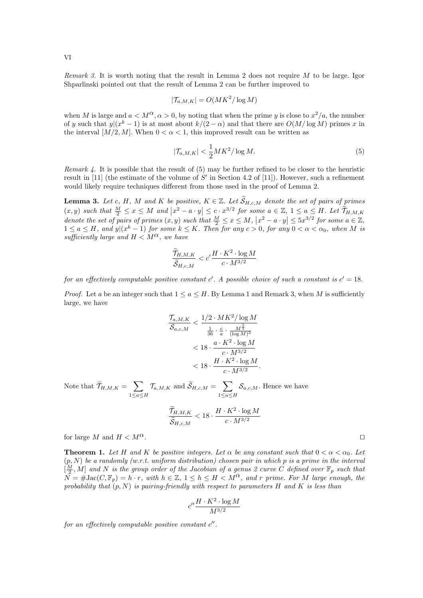Remark 3. It is worth noting that the result in Lemma 2 does not require M to be large. Igor Shparlinski pointed out that the result of Lemma 2 can be further improved to

$$
|\mathcal{T}_{a,M,K}| = O(MK^2/\log M)
$$

when M is large and  $a < M^{\alpha}, \alpha > 0$ , by noting that when the prime y is close to  $x^2/a$ , the number of y such that  $y|(x^k-1)$  is at most about  $k/(2-\alpha)$  and that there are  $O(M/\log M)$  primes x in the interval  $[M/2, M]$ . When  $0 < \alpha < 1$ , this improved result can be written as

$$
|\mathcal{T}_{a,M,K}| < \frac{1}{2}MK^2/\log M. \tag{5}
$$

Remark 4. It is possible that the result of (5) may be further refined to be closer to the heuristic result in [11] (the estimate of the volume of S' in Section 4.2 of [11]). However, such a refinement would likely require techniques different from those used in the proof of Lemma 2.

**Lemma 3.** Let c, H, M and K be positive,  $K \in \mathbb{Z}$ . Let  $\widetilde{S}_{H,c,M}$  denote the set of pairs of primes  $(x, y)$  such that  $\frac{M}{2} \le x \le M$  and  $|x^2 - a \cdot y| \le c \cdot x^{3/2}$  for some  $a \in \mathbb{Z}, 1 \le a \le H$ . Let  $\widetilde{\mathcal{T}}_{H,M,K}$ denote the set of pairs of primes  $(x, y)$  such that  $\frac{M}{2} \le x \le M$ ,  $|x^2 - a \cdot y| \le 5x^{3/2}$  for some  $a \in \mathbb{Z}$ ,  $1 \le a \le H$ , and  $y|(x^k-1)$  for some  $k \le K$ . Then for any  $c > 0$ , for any  $0 < \alpha < \alpha_0$ , when M is sufficiently large and  $H \n\leq M^{\alpha}$ , we have

$$
\frac{\widetilde{\mathcal{T}}_{H,M,K}}{\widetilde{\mathcal{S}}_{H,c,M}} < c' \frac{H \cdot K^2 \cdot \log M}{c \cdot M^{3/2}}
$$

for an effectively computable positive constant  $c'$ . A possible choice of such a constant is  $c' = 18$ .

*Proof.* Let a be an integer such that  $1 \le a \le H$ . By Lemma 1 and Remark 3, when M is sufficiently large, we have

$$
\frac{\mathcal{T}_{a,M,K}}{\mathcal{S}_{a,c,M}} < \frac{1/2 \cdot MK^2 / \log M}{\frac{1}{36} \cdot \frac{c}{a} \cdot \frac{M^{\frac{5}{2}}}{(\log M)^2}} \\
&< 18 \cdot \frac{a \cdot K^2 \cdot \log M}{c \cdot M^{3/2}} \\
&< 18 \cdot \frac{H \cdot K^2 \cdot \log M}{c \cdot M^{3/2}}.
$$

Note that  $\widetilde{\mathcal{T}}_{H,M,K} = \sum$  $1\leq a \leq H$  $\mathcal{T}_{a,M,K}$  and  $\widetilde{\mathcal{S}}_{H,c,M} = \sum$  $1\leq a \leq H$  $\mathcal{S}_{a,c,M}$ . Hence we have

$$
\frac{\widetilde{T}_{H,M,K}}{\widetilde{S}_{H,c,M}} < 18 \cdot \frac{H \cdot K^2 \cdot \log M}{c \cdot M^{3/2}}
$$

for large M and  $H < M^{\alpha}$ .

**Theorem 1.** Let H and K be positive integers. Let  $\alpha$  be any constant such that  $0 < \alpha < \alpha_0$ . Let  $(p, N)$  be a randomly (w.r.t. uniform distribution) chosen pair in which p is a prime in the interval  $[\frac{M}{2}, M]$  and N is the group order of the Jacobian of a genus 2 curve C defined over  $\mathbb{F}_p$  such that  $N = #Jac(C, \mathbb{F}_p) = h \cdot r$ , with  $h \in \mathbb{Z}$ ,  $1 \leq h \leq H \leq M^{\alpha}$ , and r prime. For M large enough, the probability that  $(p, N)$  is pairing-friendly with respect to parameters H and K is less than

$$
c'' \frac{H \cdot K^2 \cdot \log M}{M^{3/2}}
$$

for an effectively computable positive constant  $c''$ .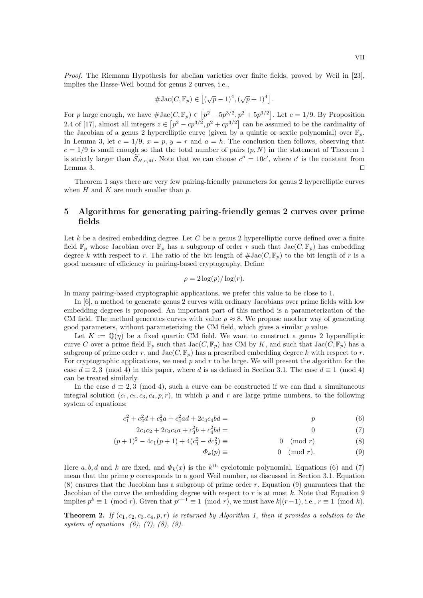Proof. The Riemann Hypothesis for abelian varieties over finite fields, proved by Weil in [23], implies the Hasse-Weil bound for genus 2 curves, i.e.,

$$
\#\mathrm{Jac}(C,\mathbb{F}_p)\in\left[ (\sqrt{p}-1)^4,(\sqrt{p}+1)^4\right].
$$

For p large enough, we have  $\#\text{Jac}(C, \mathbb{F}_p) \in [p^2 - 5p^{3/2}, p^2 + 5p^{3/2}]$ . Let  $c = 1/9$ . By Proposition 2.4 of [17], almost all integers  $z \in [p^2 - cp^{3/2}, p^2 + cp^{3/2}]$  can be assumed to be the cardinality of the Jacobian of a genus 2 hyperelliptic curve (given by a quintic or sextic polynomial) over  $\mathbb{F}_p$ . In Lemma 3, let  $c = 1/9$ ,  $x = p$ ,  $y = r$  and  $a = h$ . The conclusion then follows, observing that  $c = 1/9$  is small enough so that the total number of pairs  $(p, N)$  in the statement of Theorem 1 is strictly larger than  $S_{H,c,M}$ . Note that we can choose  $c'' = 10c'$ , where c' is the constant from Lemma 3.  $□$ 

Theorem 1 says there are very few pairing-friendly parameters for genus 2 hyperelliptic curves when  $H$  and  $K$  are much smaller than  $p$ .

## 5 Algorithms for generating pairing-friendly genus 2 curves over prime fields

Let  $k$  be a desired embedding degree. Let  $C$  be a genus 2 hyperelliptic curve defined over a finite field  $\mathbb{F}_p$  whose Jacobian over  $\mathbb{F}_p$  has a subgroup of order r such that  $Jac(C, \mathbb{F}_p)$  has embedding degree k with respect to r. The ratio of the bit length of  $\#$ Jac( $C$ ,  $\mathbb{F}_p$ ) to the bit length of r is a good measure of efficiency in pairing-based cryptography. Define

$$
\rho = 2\log(p)/\log(r).
$$

In many pairing-based cryptographic applications, we prefer this value to be close to 1.

In [6], a method to generate genus 2 curves with ordinary Jacobians over prime fields with low embedding degrees is proposed. An important part of this method is a parameterization of the CM field. The method generates curves with value  $\rho \approx 8$ . We propose another way of generating good parameters, without parameterizing the CM field, which gives a similar  $\rho$  value.

Let  $K := \mathbb{Q}(\eta)$  be a fixed quartic CM field. We want to construct a genus 2 hyperelliptic curve C over a prime field  $\mathbb{F}_p$  such that  $Jac(C, \mathbb{F}_p)$  has CM by K, and such that  $Jac(C, \mathbb{F}_p)$  has a subgroup of prime order r, and  $Jac(C, \mathbb{F}_p)$  has a prescribed embedding degree k with respect to r. For cryptographic applications, we need  $p$  and  $r$  to be large. We will present the algorithm for the case  $d \equiv 2,3 \pmod{4}$  in this paper, where d is as defined in Section 3.1. The case  $d \equiv 1 \pmod{4}$ can be treated similarly.

In the case  $d \equiv 2, 3 \pmod{4}$ , such a curve can be constructed if we can find a simultaneous integral solution  $(c_1, c_2, c_3, c_4, p, r)$ , in which p and r are large prime numbers, to the following system of equations:

$$
c_1^2 + c_2^2d + c_3^2a + c_4^2ad + 2c_3c_4bd = p \tag{6}
$$

$$
2c_1c_2 + 2c_3c_4a + c_3^2b + c_4^2bd = 0 \tag{7}
$$

$$
(p+1)^2 - 4c_1(p+1) + 4(c_1^2 - dc_2^2) \equiv 0 \pmod{r}
$$
 (8)

$$
\Phi_k(p) \equiv 0 \pmod{r}.\tag{9}
$$

Here  $a, b, d$  and k are fixed, and  $\Phi_k(x)$  is the  $k^{\text{th}}$  cyclotomic polynomial. Equations (6) and (7) mean that the prime p corresponds to a good Weil number, as discussed in Section 3.1. Equation  $(8)$  ensures that the Jacobian has a subgroup of prime order r. Equation (9) guarantees that the Jacobian of the curve the embedding degree with respect to  $r$  is at most  $k$ . Note that Equation 9 implies  $p^k \equiv 1 \pmod{r}$ . Given that  $p^{r-1} \equiv 1 \pmod{r}$ , we must have  $k|(r-1)$ , i.e.,  $r \equiv 1 \pmod{k}$ .

**Theorem 2.** If  $(c_1, c_2, c_3, c_4, p, r)$  is returned by Algorithm 1, then it provides a solution to the system of equations  $(6)$ ,  $(7)$ ,  $(8)$ ,  $(9)$ .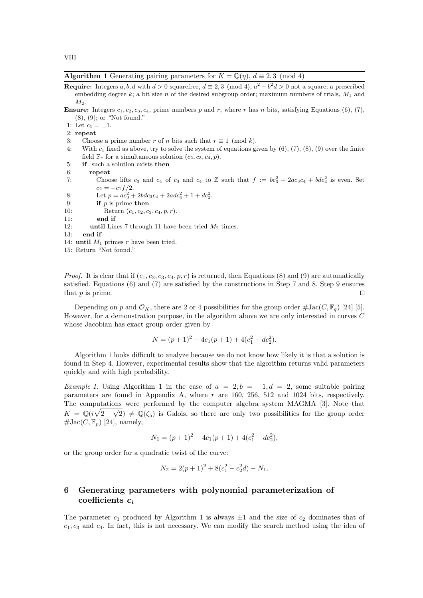Algorithm 1 Generating pairing parameters for  $K = \mathbb{Q}(\eta)$ ,  $d \equiv 2, 3 \pmod{4}$ 

- **Require:** Integers a, b, d with  $d > 0$  squarefree,  $d \equiv 2, 3 \pmod{4}$ ,  $a^2 b^2d > 0$  not a square; a prescribed embedding degree  $k$ ; a bit size n of the desired subgroup order; maximum numbers of trials,  $M_1$  and  $M_2$ .
- **Ensure:** Integers  $c_1, c_2, c_3, c_4$ , prime numbers p and r, where r has n bits, satisfying Equations (6), (7), (8), (9); or "Not found."
- 1: Let  $c_1 = \pm 1$ .

2: repeat

- 3: Choose a prime number r of n bits such that  $r \equiv 1 \pmod{k}$ .
- 4: With  $c_1$  fixed as above, try to solve the system of equations given by  $(6)$ ,  $(7)$ ,  $(8)$ ,  $(9)$  over the finite field  $\mathbb{F}_r$  for a simultaneous solution  $(\bar{c}_2, \bar{c}_3, \bar{c}_4, \bar{p})$ .
- 5: if such a solution exists then

6: repeat

7: Choose lifts  $c_3$  and  $c_4$  of  $\bar{c}_3$  and  $\bar{c}_4$  to Z such that  $f := bc_3^2 + 2ac_3c_4 + bdc_4^2$  is even. Set  $c_2 = -c_1 f/2.$ 

8: Let  $p = ac_3^2 + 2bdc_3c_4 + 2adc_4^2 + 1 + dc_2^2$ .

- 9: if  $p$  is prime then
- 10: Return  $(c_1, c_2, c_3, c_4, p, r)$ .

11: end if

- 12: until Lines 7 through 11 have been tried  $M_2$  times.
- 13: end if
- 14: until  $M_1$  primes r have been tried.

15: Return "Not found."

*Proof.* It is clear that if  $(c_1, c_2, c_3, c_4, p, r)$  is returned, then Equations (8) and (9) are automatically satisfied. Equations (6) and (7) are satisfied by the constructions in Step 7 and 8. Step 9 ensures that p is prime.  $□$ 

Depending on p and  $\mathcal{O}_K$ , there are 2 or 4 possibilities for the group order  $\#\text{Jac}(C, \mathbb{F}_q)$  [24] [5]. However, for a demonstration purpose, in the algorithm above we are only interested in curves C whose Jacobian has exact group order given by

$$
N = (p+1)^2 - 4c_1(p+1) + 4(c_1^2 - dc_2^2).
$$

Algorithm 1 looks difficult to analyze because we do not know how likely it is that a solution is found in Step 4. However, experimental results show that the algorithm returns valid parameters quickly and with high probability.

Example 1. Using Algorithm 1 in the case of  $a = 2, b = -1, d = 2$ , some suitable pairing parameters are found in Appendix A, where  $r$  are 160, 256, 512 and 1024 bits, respectively. The computations were performed by the computer algebra system MAGMA [3]. Note that  $K = \mathbb{Q}(i\sqrt{2-\sqrt{2}}) \neq \mathbb{Q}(\zeta_5)$  is Galois, so there are only two possibilities for the group order  $\# \text{Jac}(C, \mathbb{F}_p)$  [24], namely,

$$
N_1 = (p+1)^2 - 4c_1(p+1) + 4(c_1^2 - dc_2^2),
$$

or the group order for a quadratic twist of the curve:

$$
N_2 = 2(p+1)^2 + 8(c_1^2 - c_2^2 d) - N_1.
$$

# 6 Generating parameters with polynomial parameterization of coefficients  $c_i$

The parameter  $c_1$  produced by Algorithm 1 is always  $\pm 1$  and the size of  $c_2$  dominates that of  $c_1, c_3$  and  $c_4$ . In fact, this is not necessary. We can modify the search method using the idea of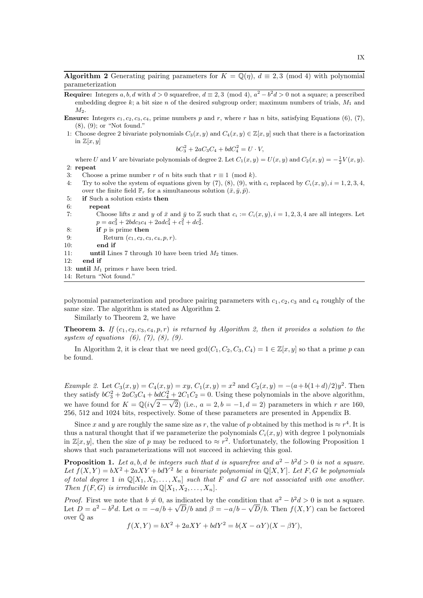**Algorithm 2** Generating pairing parameters for  $K = \mathbb{Q}(n)$ ,  $d \equiv 2,3 \pmod{4}$  with polynomial parameterization

- **Require:** Integers a, b, d with  $d > 0$  squarefree,  $d \equiv 2, 3 \pmod{4}$ ,  $a^2 b^2d > 0$  not a square; a prescribed embedding degree k; a bit size n of the desired subgroup order; maximum numbers of trials,  $M_1$  and  $M_2$ .
- **Ensure:** Integers  $c_1, c_2, c_3, c_4$ , prime numbers p and r, where r has n bits, satisfying Equations (6), (7), (8), (9); or "Not found."
- 1: Choose degree 2 bivariate polynomials  $C_3(x, y)$  and  $C_4(x, y) \in \mathbb{Z}[x, y]$  such that there is a factorization in  $\mathbb{Z}[x, y]$

$$
bC_3^2 + 2aC_3C_4 + bdC_4^2 = U \cdot V,
$$

where U and V are bivariate polynomials of degree 2. Let  $C_1(x, y) = U(x, y)$  and  $C_2(x, y) = -\frac{1}{2}V(x, y)$ . 2: repeat

- 3: Choose a prime number r of n bits such that  $r \equiv 1 \pmod{k}$ .
- 4: Try to solve the system of equations given by (7), (8), (9), with  $c_i$  replaced by  $C_i(x, y)$ ,  $i = 1, 2, 3, 4$ , over the finite field  $\mathbb{F}_r$  for a simultaneous solution  $(\bar{x}, \bar{y}, \bar{p})$ .
- 5: if Such a solution exists then
- 6: repeat
- 7: Choose lifts x and y of  $\bar{x}$  and  $\bar{y}$  to Z such that  $c_i := C_i(x, y), i = 1, 2, 3, 4$  are all integers. Let  $p = ac_3^2 + 2bdc_3c_4 + 2adc_4^2 + c_1^2 + dc_2^2.$
- 8: if  $p$  is prime then
- 9: Return  $(c_1, c_2, c_3, c_4, p, r)$ .
- 10: end if
- 11: until Lines 7 through 10 have been tried  $M_2$  times.
- 12: end if
- 13: until  $M_1$  primes r have been tried.

14: Return "Not found."

polynomial parameterization and produce pairing parameters with  $c_1, c_2, c_3$  and  $c_4$  roughly of the same size. The algorithm is stated as Algorithm 2.

Similarly to Theorem 2, we have

**Theorem 3.** If  $(c_1, c_2, c_3, c_4, p, r)$  is returned by Algorithm 2, then it provides a solution to the system of equations  $(6)$ ,  $(7)$ ,  $(8)$ ,  $(9)$ .

In Algorithm 2, it is clear that we need  $gcd(C_1, C_2, C_3, C_4) = 1 \in \mathbb{Z}[x, y]$  so that a prime p can be found.

Example 2. Let  $C_3(x, y) = C_4(x, y) = xy$ ,  $C_1(x, y) = x^2$  and  $C_2(x, y) = -(a+b(1+d)/2)y^2$ . Then they satisfy  $bC_3^2 + 2aC_3C_4 + bdC_4^2 + 2C_1C_2 = 0$ . Using these polynomials in the above algorithm, we have found for  $K = \mathbb{Q}(i\sqrt{2-\sqrt{2}})$  (i.e.,  $a = 2, b = -1, d = 2$ ) parameters in which r are 160, 256, 512 and 1024 bits, respectively. Some of these parameters are presented in Appendix B.

Since x and y are roughly the same size as r, the value of p obtained by this method is  $\approx r^4$ . It is thus a natural thought that if we parameterize the polynomials  $C_i(x, y)$  with degree 1 polynomials in  $\mathbb{Z}[x,y]$ , then the size of p may be reduced to  $\approx r^2$ . Unfortunately, the following Proposition 1 shows that such parameterizations will not succeed in achieving this goal.

**Proposition 1.** Let a, b, d be integers such that d is squarefree and  $a^2 - b^2d > 0$  is not a square. Let  $f(X,Y) = bX^2 + 2aXY + bdY^2$  be a bivariate polynomial in Q[X, Y]. Let F, G be polynomials of total degree 1 in  $\mathbb{Q}[X_1, X_2, \ldots, X_n]$  such that F and G are not associated with one another. Then  $f(F, G)$  is irreducible in  $\mathbb{Q}[X_1, X_2, \ldots, X_n].$ 

*Proof.* First we note that  $b \neq 0$ , as indicated by the condition that  $a^2 - b^2 d > 0$  is not a square. Let  $D = a^2 - b^2d$ . Let  $\alpha = -a/b + \sqrt{D}/b$  and  $\beta = -a/b - \sqrt{D}/b$ . Then  $f(X, Y)$  can be factored over  $\bar{O}$  as

$$
f(X,Y) = bX^2 + 2aXY + bdY^2 = b(X - \alpha Y)(X - \beta Y),
$$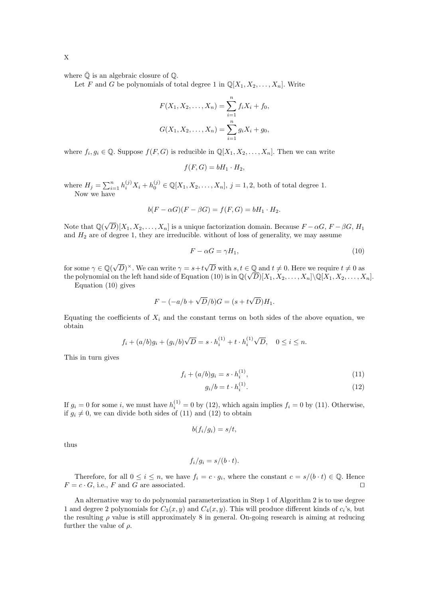where  $\overline{Q}$  is an algebraic closure of  $\mathbb{Q}$ .

Let F and G be polynomials of total degree 1 in  $\mathbb{Q}[X_1, X_2, \ldots, X_n]$ . Write

$$
F(X_1, X_2, \dots, X_n) = \sum_{i=1}^n f_i X_i + f_0,
$$
  

$$
G(X_1, X_2, \dots, X_n) = \sum_{i=1}^n g_i X_i + g_0,
$$

where  $f_i, g_i \in \mathbb{Q}$ . Suppose  $f(F, G)$  is reducible in  $\mathbb{Q}[X_1, X_2, \ldots, X_n]$ . Then we can write

$$
f(F,G)=bH_1\cdot H_2,
$$

where  $H_j = \sum_{i=1}^n h_i^{(j)} X_i + h_0^{(j)} \in \mathbb{Q}[X_1, X_2, \dots, X_n], j = 1, 2$ , both of total degree 1. Now we have

$$
b(F - \alpha G)(F - \beta G) = f(F, G) = bH_1 \cdot H_2.
$$

Note that  $\mathbb{Q}(\sqrt{D})[X_1, X_2, \ldots, X_n]$  is a unique factorization domain. Because  $F - \alpha G$ ,  $F - \beta G$ ,  $H_1$ and  $H_2$  are of degree 1, they are irreducible. without of loss of generality, we may assume

$$
F - \alpha G = \gamma H_1,\tag{10}
$$

for some  $\gamma \in \mathbb{Q}(\sqrt{D})^{\times}$ . We can write  $\gamma = s + t\sqrt{D}$  with  $s, t \in \mathbb{Q}$  and  $t \neq 0$ . Here we require  $t \neq 0$  as the polynomial on the left hand side of Equation (10) is in  $\mathbb{Q}(\sqrt{D})[X_1, X_2, \ldots, X_n]\backslash \mathbb{Q}[X_1, X_2, \ldots, X_n]$ .

Equation (10) gives

$$
F - (-a/b + \sqrt{D}/b)G = (s + t\sqrt{D})H_1.
$$

Equating the coefficients of  $X_i$  and the constant terms on both sides of the above equation, we obtain

$$
f_i + (a/b)g_i + (g_i/b)\sqrt{D} = s \cdot h_i^{(1)} + t \cdot h_i^{(1)}\sqrt{D}, \quad 0 \le i \le n.
$$

This in turn gives

$$
f_i + (a/b)g_i = s \cdot h_i^{(1)}, \tag{11}
$$

$$
g_i/b = t \cdot h_i^{(1)}.\tag{12}
$$

If  $g_i = 0$  for some i, we must have  $h_i^{(1)} = 0$  by (12), which again implies  $f_i = 0$  by (11). Otherwise, if  $g_i \neq 0$ , we can divide both sides of (11) and (12) to obtain

$$
b(f_i/g_i)=s/t,
$$

thus

$$
f_i/g_i = s/(b \cdot t).
$$

Therefore, for all  $0 \leq i \leq n$ , we have  $f_i = c \cdot g_i$ , where the constant  $c = s/(b \cdot t) \in \mathbb{Q}$ . Hence  $F = c \cdot G$ , i.e., F and G are associated. □

An alternative way to do polynomial parameterization in Step 1 of Algorithm 2 is to use degree 1 and degree 2 polynomials for  $C_3(x, y)$  and  $C_4(x, y)$ . This will produce different kinds of  $c_i$ 's, but the resulting  $\rho$  value is still approximately 8 in general. On-going research is aiming at reducing further the value of  $\rho$ .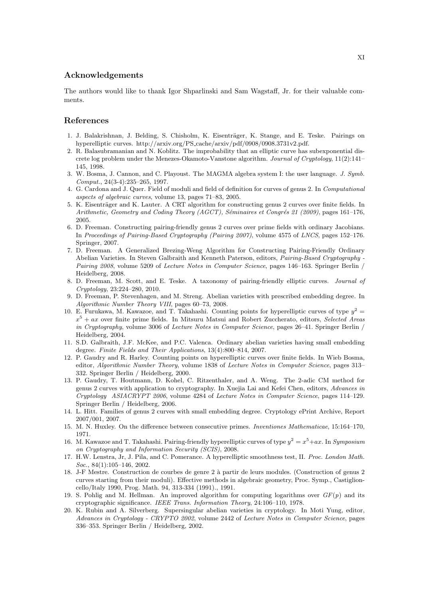#### Acknowledgements

The authors would like to thank Igor Shparlinski and Sam Wagstaff, Jr. for their valuable comments.

# References

- 1. J. Balakrishnan, J. Belding, S. Chisholm, K. Eisenträger, K. Stange, and E. Teske. Pairings on hyperelliptic curves. http://arxiv.org/PS cache/arxiv/pdf/0908/0908.3731v2.pdf.
- 2. R. Balasubramanian and N. Koblitz. The improbability that an elliptic curve has subexponential discrete log problem under the Menezes-Okamoto-Vanstone algorithm. Journal of Cryptology, 11(2):141– 145, 1998.
- 3. W. Bosma, J. Cannon, and C. Playoust. The MAGMA algebra system I: the user language. J. Symb. Comput., 24(3-4):235–265, 1997.
- 4. G. Cardona and J. Quer. Field of moduli and field of definition for curves of genus 2. In Computational aspects of algebraic curves, volume 13, pages 71–83, 2005.
- 5. K. Eisenträger and K. Lauter. A CRT algorithm for constructing genus 2 curves over finite fields. In Arithmetic, Geometry and Coding Theory (AGCT), Séminaires et Congrés 21 (2009), pages 161–176, 2005.
- 6. D. Freeman. Constructing pairing-friendly genus 2 curves over prime fields with ordinary Jacobians. In Proceedings of Pairing-Based Cryptography (Pairing 2007), volume 4575 of LNCS, pages 152–176. Springer, 2007.
- 7. D. Freeman. A Generalized Brezing-Weng Algorithm for Constructing Pairing-Friendly Ordinary Abelian Varieties. In Steven Galbraith and Kenneth Paterson, editors, Pairing-Based Cryptography - Pairing 2008, volume 5209 of Lecture Notes in Computer Science, pages 146–163. Springer Berlin / Heidelberg, 2008.
- 8. D. Freeman, M. Scott, and E. Teske. A taxonomy of pairing-friendly elliptic curves. Journal of Cryptology, 23:224–280, 2010.
- 9. D. Freeman, P. Stevenhagen, and M. Streng. Abelian varieties with prescribed embedding degree. In Algorithmic Number Theory VIII, pages 60–73, 2008.
- 10. E. Furukawa, M. Kawazoe, and T. Takahashi. Counting points for hyperelliptic curves of type  $y^2 =$  $x^5 + ax$  over finite prime fields. In Mitsuru Matsui and Robert Zuccherato, editors, Selected Areas in Cryptography, volume 3006 of Lecture Notes in Computer Science, pages 26–41. Springer Berlin / Heidelberg, 2004.
- 11. S.D. Galbraith, J.F. McKee, and P.C. Valenca. Ordinary abelian varieties having small embedding degree. Finite Fields and Their Applications, 13(4):800–814, 2007.
- 12. P. Gaudry and R. Harley. Counting points on hyperelliptic curves over finite fields. In Wieb Bosma, editor, Algorithmic Number Theory, volume 1838 of Lecture Notes in Computer Science, pages 313– 332. Springer Berlin / Heidelberg, 2000.
- 13. P. Gaudry, T. Houtmann, D. Kohel, C. Ritzenthaler, and A. Weng. The 2-adic CM method for genus 2 curves with application to cryptography. In Xuejia Lai and Kefei Chen, editors, Advances in Cryptology ASIACRYPT 2006, volume 4284 of Lecture Notes in Computer Science, pages 114–129. Springer Berlin / Heidelberg, 2006.
- 14. L. Hitt. Families of genus 2 curves with small embedding degree. Cryptology ePrint Archive, Report 2007/001, 2007.
- 15. M. N. Huxley. On the difference between consecutive primes. Inventiones Mathematicae, 15:164–170, 1971.
- 16. M. Kawazoe and T. Takahashi. Pairing-friendly hyperelliptic curves of type  $y^2 = x^5 + ax$ . In Symposium on Cryptography and Information Security (SCIS), 2008.
- 17. H.W. Lenstra, Jr, J. Pila, and C. Pomerance. A hyperelliptic smoothness test, II. Proc. London Math. Soc., 84(1):105-146, 2002.
- 18. J-F Mestre. Construction de courbes de genre 2 à partir de leurs modules. (Construction of genus 2 curves starting from their moduli). Effective methods in algebraic geometry, Proc. Symp., Castiglioncello/Italy 1990, Prog. Math. 94, 313-334 (1991)., 1991.
- 19. S. Pohlig and M. Hellman. An improved algorithm for computing logarithms over  $GF(p)$  and its cryptographic significance. IEEE Trans. Information Theory, 24:106–110, 1978.
- 20. K. Rubin and A. Silverberg. Supersingular abelian varieties in cryptology. In Moti Yung, editor, Advances in Cryptology - CRYPTO 2002, volume 2442 of Lecture Notes in Computer Science, pages 336–353. Springer Berlin / Heidelberg, 2002.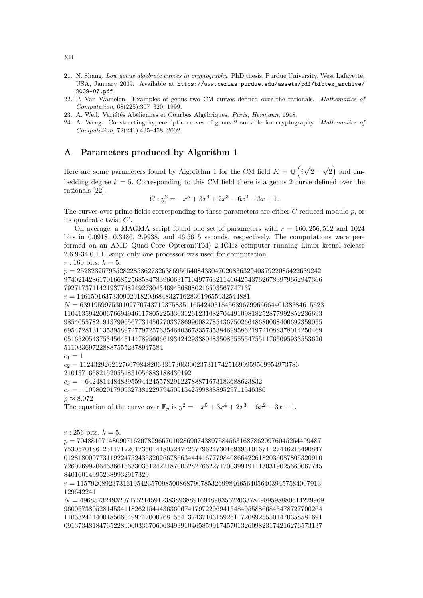- 21. N. Shang. Low genus algebraic curves in cryptography. PhD thesis, Purdue University, West Lafayette, USA, January 2009. Available at https://www.cerias.purdue.edu/assets/pdf/bibtex\_archive/ 2009-07.pdf.
- 22. P. Van Wamelen. Examples of genus two CM curves defined over the rationals. Mathematics of Computation, 68(225):307–320, 1999.
- 23. A. Weil. Variétés Abéliennes et Courbes Algébriques. Paris, Hermann, 1948.
- 24. A. Weng. Constructing hyperelliptic curves of genus 2 suitable for cryptography. Mathematics of Computation, 72(241):435–458, 2002.

# A Parameters produced by Algorithm 1

Here are some parameters found by Algorithm 1 for the CM field  $K = \mathbb{Q}(\sqrt{2-\sqrt{2}})$  and embedding degree  $k = 5$ . Corresponding to this CM field there is a genus 2 curve defined over the rationals [22].

$$
C: y^2 = -x^5 + 3x^4 + 2x^3 - 6x^2 - 3x + 1.
$$

The curves over prime fields corresponding to these parameters are either  $C$  reduced modulo  $p$ , or its quadratic twist  $C'.$ 

On average, a MAGMA script found one set of parameters with  $r = 160, 256, 512$  and  $1024$ bits in 0.0918, 0.3486, 2.9938, and 46.5615 seconds, respectively. The computations were performed on an AMD Quad-Core Opteron(TM) 2.4GHz computer running Linux kernel release 2.6.9-34.0.1.ELsmp; only one processor was used for computation.  $r: 160 \text{ bits. } k = 5.$ 

p = 252823257935282285362732638695054084330470208363294037922085422639242 9740214286170166852568584783960631710497763211466425437626783979662947366 79271737114219377482492730434694368080216503567747137

 $r = 1461501637330902918203684832716283019655932544881$ 

 $N = 639195997530102770743719375835116542403184563967996666440138384615623$ 1104135942006766949461178052253303126123108270449109818252877992852236693 9854055782191379965677314562703378699008278543675026648680068400692359055 6954728131135395897277972576354640367835735384699586219721088378014250469 0516520543753456431447895666619342429338048350855555475511765095933553626 5110336972288875552378947584

$$
c_1 = 1
$$

 $c_2 = 11243292621276079848206331730630023731174251699959569954973786$ 210137165821520551831056883188430192

 $c_3 = -64248144848395594424557829122788871673183688623832$ 

 $c_4 = -109802017909327381229794505154259988889529711346380$  $\rho \approx 8.072$ 

The equation of the curve over  $\mathbb{F}_p$  is  $y^2 = -x^5 + 3x^4 + 2x^3 - 6x^2 - 3x + 1$ .

#### $r: 256 \text{ bits. } k = 5.$

 $p = 704881071480907162078296670102869074389758456316878620976045254499487$ 7530570186125117122017350141805247723779624730169393101671127446215490847 0128180097731192247524353202667866344441677798408664226182036087805320910 7260269920646366156330351242218700528276622717003991911130319025660067745 840160149952389932917329

 $r = 115792089237316195423570985008687907853269984665640564039457584007913$ 129642241

 $N = 496857324932071752145912383893889169489835622033784989598880614229969$ 9600573805281453411826215444363606741797229694154849558866843478727700264 1105324414001856604997470007681554137437103159261172089255501470358581691 0913734818476522890003367060634939104658599174570132609823174216276573137

XII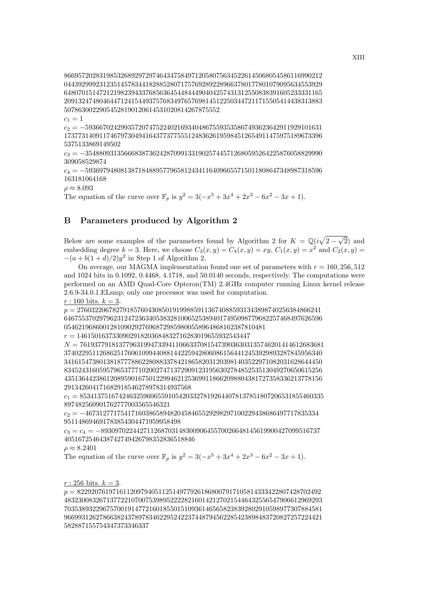8669572028319853268929729746434758497120580756345226145068054586116990212 0443929992312351457834418288528071757692892289663780177801079095634553929 6480701514721219823943376856364544844490404257431312550838391605233331165 2091324748046447124154493757683497657698145122503447211715505414438313883 50786300229054528190120614531020814267875552

 $c_1 = 1$ 

 $c_2 = -5936670242993572074752240216934048675593535867493623642911929101631$ 1737731409117467973049416437737755512483626195984512654911475975189673396 5375133869149502

 $c_3 = -3548809313566683873624287099133190257445712680595264225876058829990$ 309058529874

c<sup>4</sup> = −5936979480813871848895779658124341164096655715011808647348987318596 163181064168

 $\rho \approx 8.093$ 

The equation of the curve over  $\mathbb{F}_p$  is  $y^2 = 3(-x^5 + 3x^4 + 2x^3 - 6x^2 - 3x + 1)$ .

# B Parameters produced by Algorithm 2

Below are some examples of the parameters found by Algorithm 2 for  $K = \mathbb{Q}(i\sqrt{2-\sqrt{2}})$  and embedding degree  $k = 3$ . Here, we choose  $C_3(x, y) = C_4(x, y) = xy$ ,  $C_1(x, y) = x^2$  and  $C_2(x, y) =$  $-(a + b(1 + d)/2)y^2$  in Step 1 of Algorithm 2.

On average, our MAGMA implementation found one set of parameters with  $r = 160, 256, 512$ and 1024 bits in 0.1092, 0.4468, 4.1718, and 50.0140 seconds, respectively. The computations were performed on an AMD Quad-Core Opteron(TM) 2.4GHz computer running Linux kernel release 2.6.9-34.0.1.ELsmp; only one processor was used for computation.

 $r: 160 \text{ bits. } k = 3.$ 

 $p = 276032206782791857604308501919988591136740885931343898740256384866241$ 6467553702979623124723634053832810065253894017495098779682257468497626596 054621968600128109029276968729859800558964868162387810481

 $r = 1461501637330902918203684832716283019655932543447$ 

 $N = 761937791813779631994733941106633708154739036303135746201414612683681$ 3740229511268625176061099440881442259428060861564412453929893287845956340 3416154738013818777886228088337842186582031203981403522971082031628644450 8345243160595796537771020027471372909123195630278485253513049270650615256 4351364423861208959016750122994621253699118662098804381727358336213778156 291342604171682918546278978314937568

 $c_1 = 853413751674246325960655910542033278192644078137851807206531855460335$ 897482560901762777003565546321

 $c_2 = -467312771754171603865894820458465529298297100229438686497717835334$ 951148694691783854304471959958498

 $c_3 = c_4 = -89309702244271126870314830090645570026648145619900427099516737$ 4051672546438742749426798352836518846

 $\rho \approx 8.2401$ 

The equation of the curve over  $\mathbb{F}_p$  is  $y^2 = 3(-x^5 + 3x^4 + 2x^3 - 6x^2 - 3x + 1)$ .

 $r: 256 \text{ bits. } k = 3.$ 

 $p = 822920761971611209794051125149779261868007917105814333422807428702492$ 4832300832671377221070075398952222821601421270215446432556547906612969293 7035389322967570019147721601855015109361465658238392802910598977307884581 9669931262786638243789783462295242237448794562285423898483720827257224421 582887155754347373346337